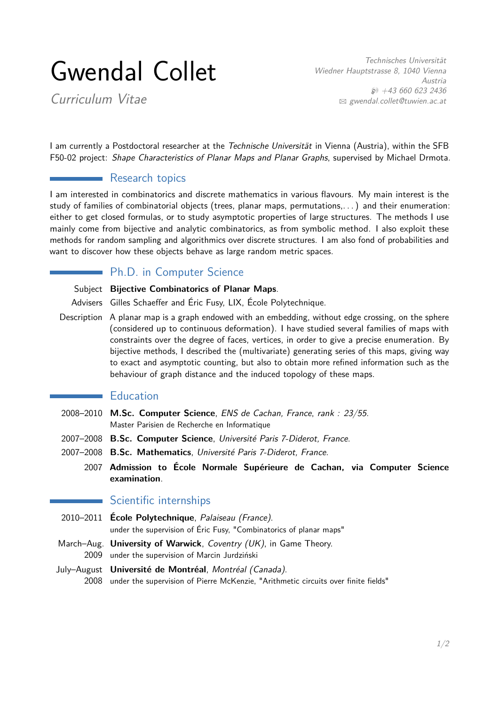# Gwendal Collet

Curriculum Vitae

Technisches Universität Wiedner Hauptstrasse 8, 1040 Vienna Austria  $$+43,660,623,2436$ B [gwendal.collet@tuwien.ac.at](mailto:gwendal.collet@tuwien.ac.at)

I am currently a Postdoctoral researcher at the Technische Universität in Vienna (Austria), within the SFB F50-02 project: Shape Characteristics of Planar Maps and Planar Graphs, supervised by Michael Drmota.

# **Research topics**

I am interested in combinatorics and discrete mathematics in various flavours. My main interest is the study of families of combinatorial objects (trees, planar maps, permutations,. . . ) and their enumeration: either to get closed formulas, or to study asymptotic properties of large structures. The methods I use mainly come from bijective and analytic combinatorics, as from symbolic method. I also exploit these methods for random sampling and algorithmics over discrete structures. I am also fond of probabilities and want to discover how these objects behave as large random metric spaces.

# Ph.D. in Computer Science

Subject **Bijective Combinatorics of Planar Maps**.

Advisers Gilles Schaeffer and Éric Fusy, LIX, École Polytechnique.

Description A planar map is a graph endowed with an embedding, without edge crossing, on the sphere (considered up to continuous deformation). I have studied several families of maps with constraints over the degree of faces, vertices, in order to give a precise enumeration. By bijective methods, I described the (multivariate) generating series of this maps, giving way to exact and asymptotic counting, but also to obtain more refined information such as the behaviour of graph distance and the induced topology of these maps.

## **Education**

- 2008–2010 **M.Sc. Computer Science**, ENS de Cachan, France, rank : 23/55. Master Parisien de Recherche en Informatique
- 2007–2008 **B.Sc. Computer Science**, Université Paris 7-Diderot, France.
- 2007–2008 **B.Sc. Mathematics**, Université Paris 7-Diderot, France.
	- 2007 **Admission to École Normale Supérieure de Cachan, via Computer Science examination**.

## Scientific internships

- 2010–2011 **École Polytechnique**, Palaiseau (France). under the supervision of Éric Fusy, "Combinatorics of planar maps"
- March–Aug. **University of Warwick**, Coventry (UK), in Game Theory. 2009 under the supervision of Marcin Jurdziński
- July–August **Université de Montréal**, Montréal (Canada). 2008 under the supervision of Pierre McKenzie, "Arithmetic circuits over finite fields"